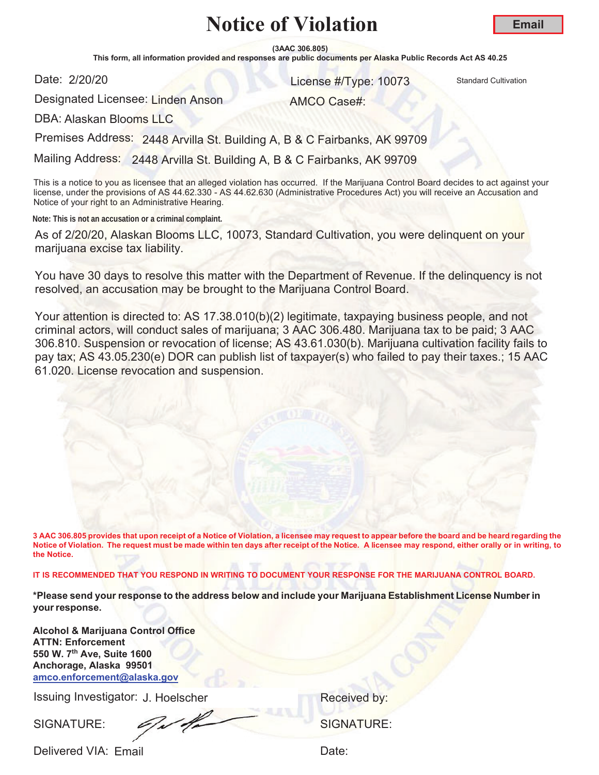**(3AAC 306.805)**

This form, all information provided and responses are public documents per Alaska Public Records Act AS 40.25

Date: 2/20/20

**License #Type: 10073** Standard Cultivation

AMCO Case#:

Designated Licensee: Linden Anson

DBA: Alaskan Blooms LLC

Premises Address: 2448 Arvilla St. Building A, B & C Fairbanks, AK 99709

Mailing Address: 2448 Arvilla St. Building A, B & C Fairbanks, AK 99709

This is a notice to you as licensee that an alleged violation has occurred. If the Marijuana Control Board decides to act against your license, under the provisions of AS 44.62.330 - AS 44.62.630 (Administrative Procedures Act) you will receive an Accusation and Notice of your right to an Administrative Hearing.

**Note: This is not an accusation or a criminal complaint.**

As of 2/20/20, Alaskan Blooms LLC, 10073, Standard Cultivation, you were delinquent on your marijuana excise tax liability.

You have 30 days to resolve this matter with the Department of Revenue. If the delinquency is not resolved, an accusation may be brought to the Marijuana Control Board.

Your attention is directed to: AS 17.38.010(b)(2) legitimate, taxpaying business people, and not criminal actors, will conduct sales of marijuana; 3 AAC 306.480. Marijuana tax to be paid; 3 AAC 306.810. Suspension or revocation of license; AS 43.61.030(b). Marijuana cultivation facility fails to pay tax; AS 43.05.230(e) DOR can publish list of taxpayer(s) who failed to pay their taxes.; 15 AAC 61.020. License revocation and suspension.

**3 AAC 306.805 provides that upon receipt of a Notice of Violation, a licensee may request to appear before the board and be heard regarding the Notice of Violation. The request must be made within ten days after receipt of the Notice. A licensee may respond, either orally or in writing, to the Notice.** 

**IT IS RECOMMENDED THAT YOU RESPOND IN WRITING TO DOCUMENT YOUR RESPONSE FOR THE MARIJUANA CONTROL BOARD.**

**\*Please send your response to the address below and include your Marijuana Establishment License Number in your response.**

**Alcohol & Marijuana Control Office ATTN: Enforcement 550 W. 7th Ave, Suite 1600 Anchorage, Alaska 99501 amco.enforcement@alaska.gov**

Issuing Investigator: J. Hoelscher **Election Control Control Control Control Control Control Control Control Control Control Control Control Control Control Control Control Control Control Control Control Control Control C** 

SIGNATURE: COMPONENT SIGNATURE: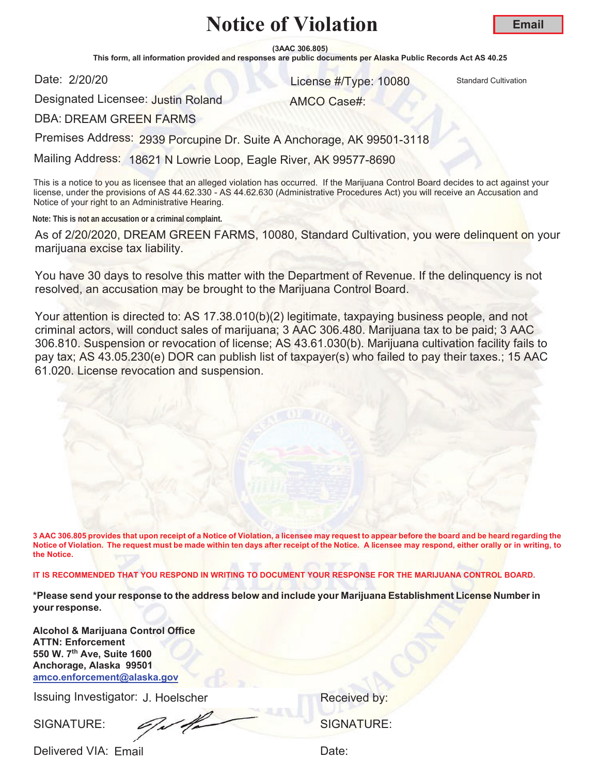**(3AAC 306.805)**

This form, all information provided and responses are public documents per Alaska Public Records Act AS 40.25

Date: 2/20/20

**License #Type: 10080** Standard Cultivation

AMCO Case#:

Designated Licensee: J<mark>ustin Rol</mark>and

DBA: DREAM GREEN FARMS

Premises Address: 2939 Porcupine Dr. Suite A Anchorage, AK 99501-3118

Mailing Address: 18621 N Lowrie Loop, Eagle River, AK 99577-8690

This is a notice to you as licensee that an alleged violation has occurred. If the Marijuana Control Board decides to act against your license, under the provisions of AS 44.62.330 - AS 44.62.630 (Administrative Procedures Act) you will receive an Accusation and Notice of your right to an Administrative Hearing.

**Note: This is not an accusation or a criminal complaint.**

As of 2/20/2020, DREAM GREEN FARMS, 10080, Standard Cultivation, you were delinquent on your marijuana excise tax liability.

You have 30 days to resolve this matter with the Department of Revenue. If the delinquency is not resolved, an accusation may be brought to the Marijuana Control Board.

Your attention is directed to: AS 17.38.010(b)(2) legitimate, taxpaying business people, and not criminal actors, will conduct sales of marijuana; 3 AAC 306.480. Marijuana tax to be paid; 3 AAC 306.810. Suspension or revocation of license; AS 43.61.030(b). Marijuana cultivation facility fails to pay tax; AS 43.05.230(e) DOR can publish list of taxpayer(s) who failed to pay their taxes.; 15 AAC 61.020. License revocation and suspension.

**3 AAC 306.805 provides that upon receipt of a Notice of Violation, a licensee may request to appear before the board and be heard regarding the Notice of Violation. The request must be made within ten days after receipt of the Notice. A licensee may respond, either orally or in writing, to the Notice.** 

**IT IS RECOMMENDED THAT YOU RESPOND IN WRITING TO DOCUMENT YOUR RESPONSE FOR THE MARIJUANA CONTROL BOARD.**

**\*Please send your response to the address below and include your Marijuana Establishment License Number in your response.**

**Alcohol & Marijuana Control Office ATTN: Enforcement 550 W. 7th Ave, Suite 1600 Anchorage, Alaska 99501 amco.enforcement@alaska.gov**

Issuing Investigator: J. Hoelscher **Election Control Control Control Control Control Control Control Control Control Control Control Control Control Control Control Control Control Control Control Control Control Control C** 

SIGNATURE: COMPUTE: SIGNATURE: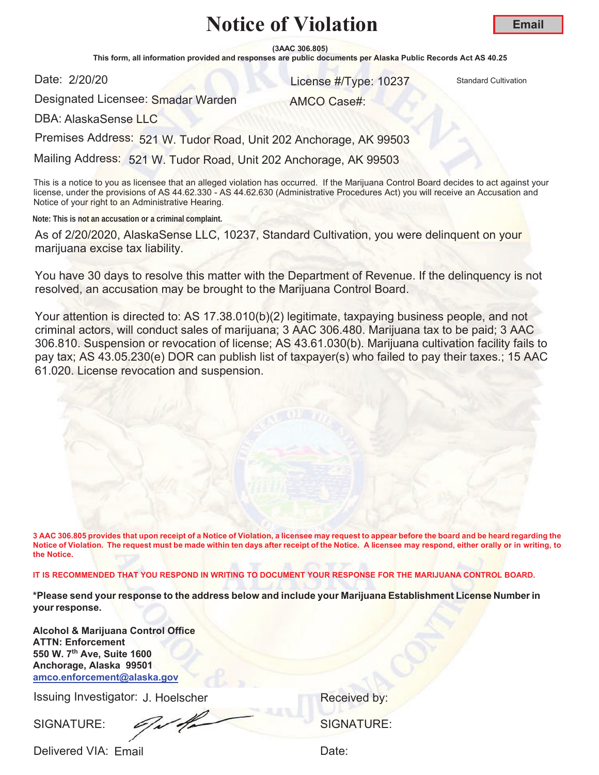**(3AAC 306.805)**

This form, all information provided and responses are public documents per Alaska Public Records Act AS 40.25

Date: 2/20/20

**License #Type: 10237** Standard Cultivation

Designated Licensee: S<mark>madar Warden</mark>

AMCO Case#:

DBA: AlaskaSense LLC

Premises Address: 521 W. Tudor Road, Unit 202 Anchorage, AK 99503

Mailing Address: 521 W. Tudor Road, Unit 202 Anchorage, AK 99503

This is a notice to you as licensee that an alleged violation has occurred. If the Marijuana Control Board decides to act against your license, under the provisions of AS 44.62.330 - AS 44.62.630 (Administrative Procedures Act) you will receive an Accusation and Notice of your right to an Administrative Hearing.

**Note: This is not an accusation or a criminal complaint.**

As of 2/20/2020, AlaskaSense LLC, 10237, Standard Cultivation, you were delinquent on your marijuana excise tax liability.

You have 30 days to resolve this matter with the Department of Revenue. If the delinquency is not resolved, an accusation may be brought to the Marijuana Control Board.

Your attention is directed to: AS 17.38.010(b)(2) legitimate, taxpaying business people, and not criminal actors, will conduct sales of marijuana; 3 AAC 306.480. Marijuana tax to be paid; 3 AAC 306.810. Suspension or revocation of license; AS 43.61.030(b). Marijuana cultivation facility fails to pay tax; AS 43.05.230(e) DOR can publish list of taxpayer(s) who failed to pay their taxes.; 15 AAC 61.020. License revocation and suspension.

**3 AAC 306.805 provides that upon receipt of a Notice of Violation, a licensee may request to appear before the board and be heard regarding the Notice of Violation. The request must be made within ten days after receipt of the Notice. A licensee may respond, either orally or in writing, to the Notice.** 

**IT IS RECOMMENDED THAT YOU RESPOND IN WRITING TO DOCUMENT YOUR RESPONSE FOR THE MARIJUANA CONTROL BOARD.**

**\*Please send your response to the address below and include your Marijuana Establishment License Number in your response.**

**Alcohol & Marijuana Control Office ATTN: Enforcement 550 W. 7th Ave, Suite 1600 Anchorage, Alaska 99501 amco.enforcement@alaska.gov**

Issuing Investigator: J. Hoelscher **Election Control Control Control Control Control Control Control Control Control Control Control Control Control Control Control Control Control Control Control Control Control Control C** 

SIGNATURE: COMPUTE: SIGNATURE: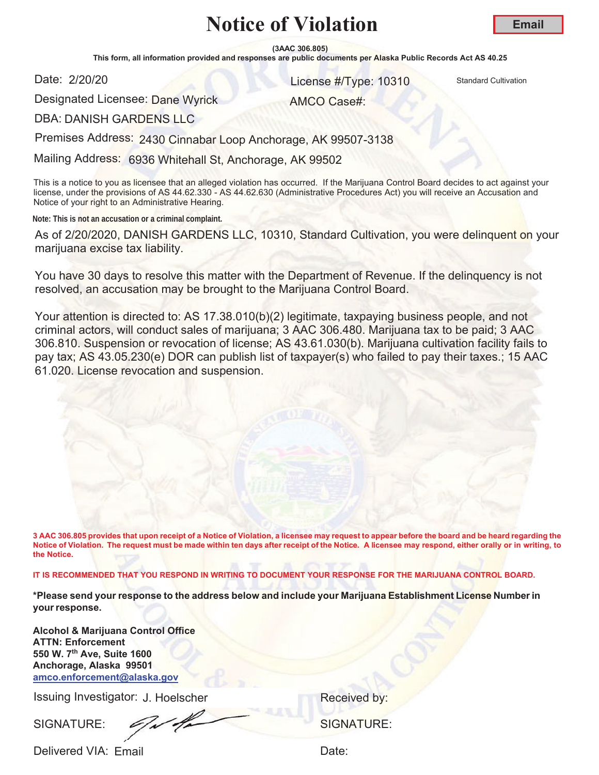**(3AAC 306.805)**

This form, all information provided and responses are public documents per Alaska Public Records Act AS 40.25

Date: 2/20/20

**License #Type: 10310** Standard Cultivation

Designated Licensee: <mark>Dane Wyrick</mark>

AMCO Case#:

DBA: DANISH GARDENS LLC

Premises Address: 2430 Cinnabar Loop Anchorage, AK 99507-3138

Mailing Address: 6936 Whitehall St, Anchorage, AK 99502

This is a notice to you as licensee that an alleged violation has occurred. If the Marijuana Control Board decides to act against your license, under the provisions of AS 44.62.330 - AS 44.62.630 (Administrative Procedures Act) you will receive an Accusation and Notice of your right to an Administrative Hearing.

**Note: This is not an accusation or a criminal complaint.**

As of 2/20/2020, DANISH GARDENS LLC, 10310, Standard Cultivation, you were delinquent on your marijuana excise tax liability.

You have 30 days to resolve this matter with the Department of Revenue. If the delinquency is not resolved, an accusation may be brought to the Marijuana Control Board.

Your attention is directed to: AS 17.38.010(b)(2) legitimate, taxpaying business people, and not criminal actors, will conduct sales of marijuana; 3 AAC 306.480. Marijuana tax to be paid; 3 AAC 306.810. Suspension or revocation of license; AS 43.61.030(b). Marijuana cultivation facility fails to pay tax; AS 43.05.230(e) DOR can publish list of taxpayer(s) who failed to pay their taxes.; 15 AAC 61.020. License revocation and suspension.

**3 AAC 306.805 provides that upon receipt of a Notice of Violation, a licensee may request to appear before the board and be heard regarding the Notice of Violation. The request must be made within ten days after receipt of the Notice. A licensee may respond, either orally or in writing, to the Notice.** 

**IT IS RECOMMENDED THAT YOU RESPOND IN WRITING TO DOCUMENT YOUR RESPONSE FOR THE MARIJUANA CONTROL BOARD.**

**\*Please send your response to the address below and include your Marijuana Establishment License Number in your response.**

**Alcohol & Marijuana Control Office ATTN: Enforcement 550 W. 7th Ave, Suite 1600 Anchorage, Alaska 99501 amco.enforcement@alaska.gov**

Issuing Investigator: J. Hoelscher **Election Control Control Control Control Control Control Control Control Control Control Control Control Control Control Control Control Control Control Control Control Control Control C** 

SIGNATURE: COMPANY SIGNATURE: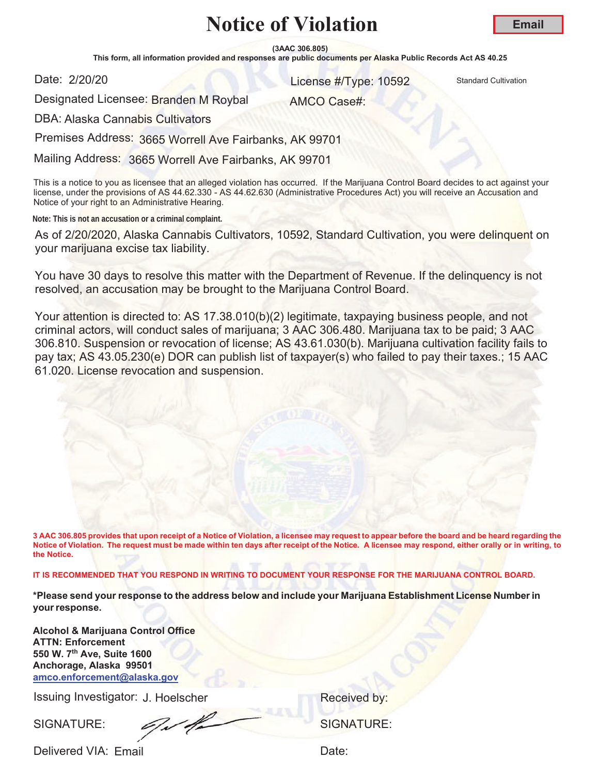**(3AAC 306.805)**

This form, all information provided and responses are public documents per Alaska Public Records Act AS 40.25

Date: 2/20/20

**License #Type: 10592** Standard Cultivation

AMCO Case#:

Designated Licensee: Branden M Roybal

DBA: Alaska Cannabis Cultivators

Premises Address: 3665 Worrell Ave Fairbanks, AK 99701

Mailing Address: 3665 Worrell Ave Fairbanks, AK 99701

This is a notice to you as licensee that an alleged violation has occurred. If the Marijuana Control Board decides to act against your license, under the provisions of AS 44.62.330 - AS 44.62.630 (Administrative Procedures Act) you will receive an Accusation and Notice of your right to an Administrative Hearing.

**Note: This is not an accusation or a criminal complaint.**

As of 2/20/2020, Alaska Cannabis Cultivators, 10592, Standard Cultivation, you were delinquent on your marijuana excise tax liability.

You have 30 days to resolve this matter with the Department of Revenue. If the delinquency is not resolved, an accusation may be brought to the Marijuana Control Board.

Your attention is directed to: AS 17.38.010(b)(2) legitimate, taxpaying business people, and not criminal actors, will conduct sales of marijuana; 3 AAC 306.480. Marijuana tax to be paid; 3 AAC 306.810. Suspension or revocation of license; AS 43.61.030(b). Marijuana cultivation facility fails to pay tax; AS 43.05.230(e) DOR can publish list of taxpayer(s) who failed to pay their taxes.; 15 AAC 61.020. License revocation and suspension.

**3 AAC 306.805 provides that upon receipt of a Notice of Violation, a licensee may request to appear before the board and be heard regarding the Notice of Violation. The request must be made within ten days after receipt of the Notice. A licensee may respond, either orally or in writing, to the Notice.** 

**IT IS RECOMMENDED THAT YOU RESPOND IN WRITING TO DOCUMENT YOUR RESPONSE FOR THE MARIJUANA CONTROL BOARD.**

**\*Please send your response to the address below and include your Marijuana Establishment License Number in your response.**

**Alcohol & Marijuana Control Office ATTN: Enforcement 550 W. 7th Ave, Suite 1600 Anchorage, Alaska 99501 amco.enforcement@alaska.gov**

Issuing Investigator: J. Hoelscher **Election Control Control Control Control Control Control Control Control Control Control Control Control Control Control Control Control Control Control Control Control Control Control C** 

SIGNATURE: COMPUTE: SIGNATURE: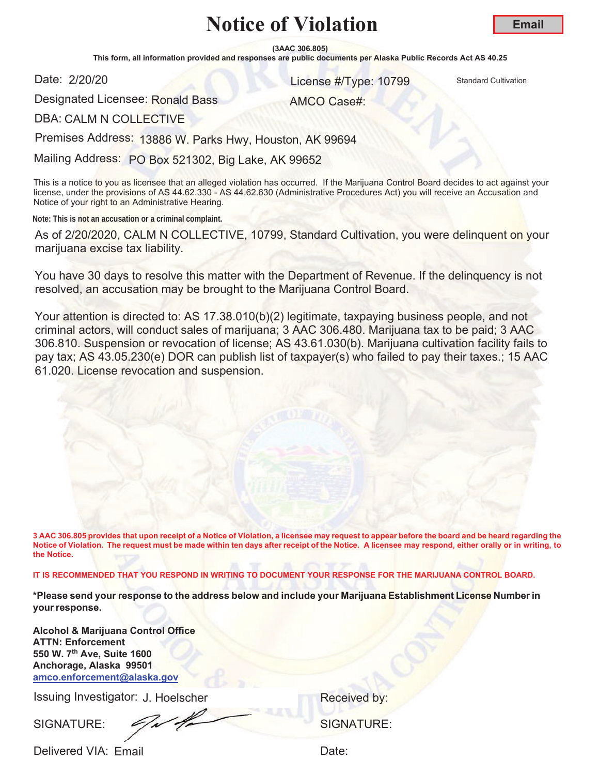**(3AAC 306.805)**

This form, all information provided and responses are public documents per Alaska Public Records Act AS 40.25

Date: 2/20/20

**License #Type: 10799** Standard Cultivation

AMCO Case#:

Designated Licensee: Ronald Bass

DBA: CALM N COLLECTIVE

Premises Address: 13886 W. Parks Hwy, Houston, AK 99694

Mailing Address: PO Box 521302, Big Lake, AK 99652

This is a notice to you as licensee that an alleged violation has occurred. If the Marijuana Control Board decides to act against your license, under the provisions of AS 44.62.330 - AS 44.62.630 (Administrative Procedures Act) you will receive an Accusation and Notice of your right to an Administrative Hearing.

**Note: This is not an accusation or a criminal complaint.**

As of 2/20/2020, CALM N COLLECTIVE, 10799, Standard Cultivation, you were delinquent on your marijuana excise tax liability.

You have 30 days to resolve this matter with the Department of Revenue. If the delinquency is not resolved, an accusation may be brought to the Marijuana Control Board.

Your attention is directed to: AS 17.38.010(b)(2) legitimate, taxpaying business people, and not criminal actors, will conduct sales of marijuana; 3 AAC 306.480. Marijuana tax to be paid; 3 AAC 306.810. Suspension or revocation of license; AS 43.61.030(b). Marijuana cultivation facility fails to pay tax; AS 43.05.230(e) DOR can publish list of taxpayer(s) who failed to pay their taxes.; 15 AAC 61.020. License revocation and suspension.

**3 AAC 306.805 provides that upon receipt of a Notice of Violation, a licensee may request to appear before the board and be heard regarding the Notice of Violation. The request must be made within ten days after receipt of the Notice. A licensee may respond, either orally or in writing, to the Notice.** 

**IT IS RECOMMENDED THAT YOU RESPOND IN WRITING TO DOCUMENT YOUR RESPONSE FOR THE MARIJUANA CONTROL BOARD.**

**\*Please send your response to the address below and include your Marijuana Establishment License Number in your response.**

**Alcohol & Marijuana Control Office ATTN: Enforcement 550 W. 7th Ave, Suite 1600 Anchorage, Alaska 99501 amco.enforcement@alaska.gov**

Issuing Investigator: J. Hoelscher **Election Control Control Control Control Control Control Control Control Control Control Control Control Control Control Control Control Control Control Control Control Control Control C** 

SIGNATURE:  $\mathscr{L}/\mathscr{L}$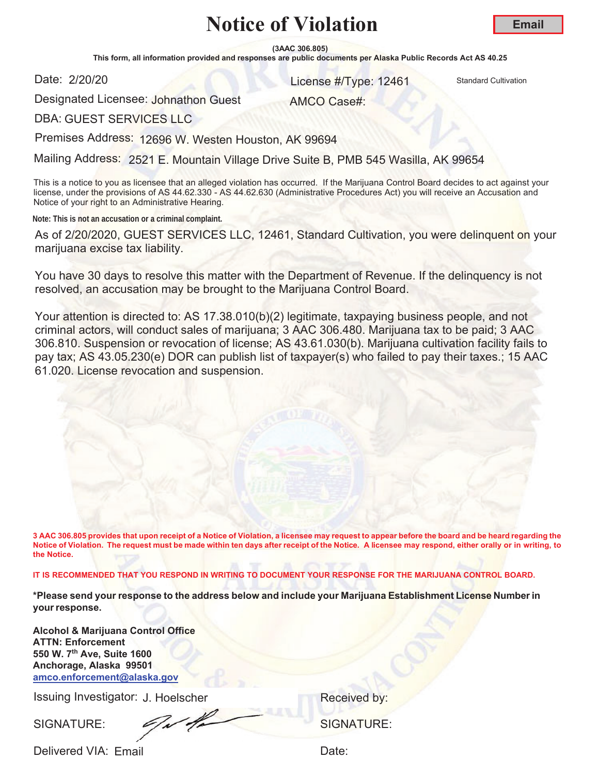**(3AAC 306.805)**

This form, all information provided and responses are public documents per Alaska Public Records Act AS 40.25

Date: 2/20/20

**License #Type: 12461 Standard Cultivation** 

Designated Licensee: Johnathon Guest

AMCO Case#:

DBA: GUEST SERVICES LLC

Premises Address: 12696 W. Westen Houston, AK 99694

Mailing Address: 2521 E. Mountain Village Drive Suite B, PMB 545 Wasilla, AK 99654

This is a notice to you as licensee that an alleged violation has occurred. If the Marijuana Control Board decides to act against your license, under the provisions of AS 44.62.330 - AS 44.62.630 (Administrative Procedures Act) you will receive an Accusation and Notice of your right to an Administrative Hearing.

**Note: This is not an accusation or a criminal complaint.**

As of 2/20/2020, GUEST SERVICES LLC, 12461, Standard Cultivation, you were delinquent on your marijuana excise tax liability.

You have 30 days to resolve this matter with the Department of Revenue. If the delinquency is not resolved, an accusation may be brought to the Marijuana Control Board.

Your attention is directed to: AS 17.38.010(b)(2) legitimate, taxpaying business people, and not criminal actors, will conduct sales of marijuana; 3 AAC 306.480. Marijuana tax to be paid; 3 AAC 306.810. Suspension or revocation of license; AS 43.61.030(b). Marijuana cultivation facility fails to pay tax; AS 43.05.230(e) DOR can publish list of taxpayer(s) who failed to pay their taxes.; 15 AAC 61.020. License revocation and suspension.

**3 AAC 306.805 provides that upon receipt of a Notice of Violation, a licensee may request to appear before the board and be heard regarding the Notice of Violation. The request must be made within ten days after receipt of the Notice. A licensee may respond, either orally or in writing, to the Notice.** 

**IT IS RECOMMENDED THAT YOU RESPOND IN WRITING TO DOCUMENT YOUR RESPONSE FOR THE MARIJUANA CONTROL BOARD.**

**\*Please send your response to the address below and include your Marijuana Establishment License Number in your response.**

**Alcohol & Marijuana Control Office ATTN: Enforcement 550 W. 7th Ave, Suite 1600 Anchorage, Alaska 99501 amco.enforcement@alaska.gov**

Issuing Investigator: J. Hoelscher **Election Control Control Control Control Control Control Control Control Control Control Control Control Control Control Control Control Control Control Control Control Control Control C** 

SIGNATURE: COMPANY SIGNATURE: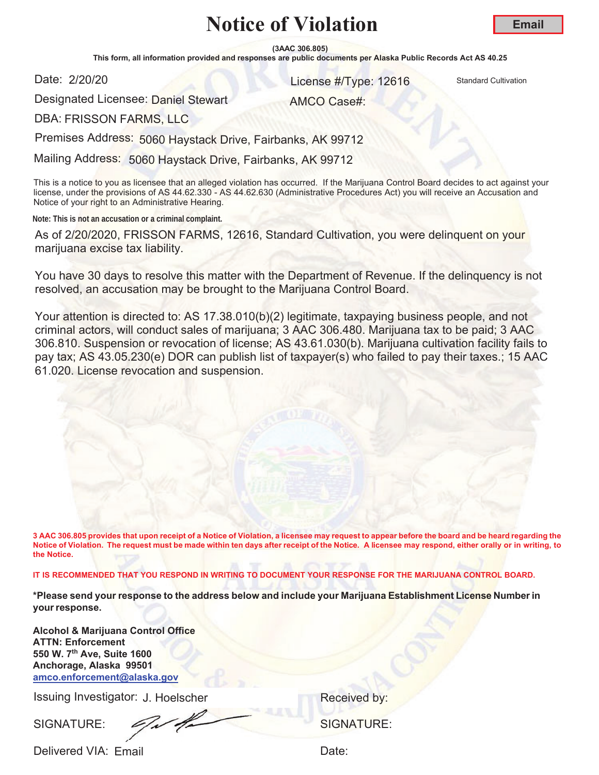**Email**

**(3AAC 306.805)**

This form, all information provided and responses are public documents per Alaska Public Records Act AS 40.25

Date: 2/20/20

**License #Type: 12616** Standard Cultivation

Designated Licensee: <mark>Daniel Ste</mark>wart

AMCO Case#:

DBA: FRISSON FARMS, LLC

Premises Address: 5060 Haystack Drive, Fairbanks, AK 99712

Mailing Address: 5060 Haystack Drive, Fairbanks, AK 99712

This is a notice to you as licensee that an alleged violation has occurred. If the Marijuana Control Board decides to act against your license, under the provisions of AS 44.62.330 - AS 44.62.630 (Administrative Procedures Act) you will receive an Accusation and Notice of your right to an Administrative Hearing.

**Note: This is not an accusation or a criminal complaint.**

As of 2/20/2020, FRISSON FARMS, 12616, Standard Cultivation, you were delinquent on your marijuana excise tax liability.

You have 30 days to resolve this matter with the Department of Revenue. If the delinquency is not resolved, an accusation may be brought to the Marijuana Control Board.

Your attention is directed to: AS 17.38.010(b)(2) legitimate, taxpaying business people, and not criminal actors, will conduct sales of marijuana; 3 AAC 306.480. Marijuana tax to be paid; 3 AAC 306.810. Suspension or revocation of license; AS 43.61.030(b). Marijuana cultivation facility fails to pay tax; AS 43.05.230(e) DOR can publish list of taxpayer(s) who failed to pay their taxes.; 15 AAC 61.020. License revocation and suspension.

**3 AAC 306.805 provides that upon receipt of a Notice of Violation, a licensee may request to appear before the board and be heard regarding the Notice of Violation. The request must be made within ten days after receipt of the Notice. A licensee may respond, either orally or in writing, to the Notice.** 

**IT IS RECOMMENDED THAT YOU RESPOND IN WRITING TO DOCUMENT YOUR RESPONSE FOR THE MARIJUANA CONTROL BOARD.**

**\*Please send your response to the address below and include your Marijuana Establishment License Number in your response.**

**Alcohol & Marijuana Control Office ATTN: Enforcement 550 W. 7th Ave, Suite 1600 Anchorage, Alaska 99501 amco.enforcement@alaska.gov**

Issuing Investigator: J. Hoelscher **Election Control Control Control Control Control Control Control Control Control Control Control Control Control Control Control Control Control Control Control Control Control Control C** 

SIGNATURE:  $\mathscr{L}_{\mathscr{A}}$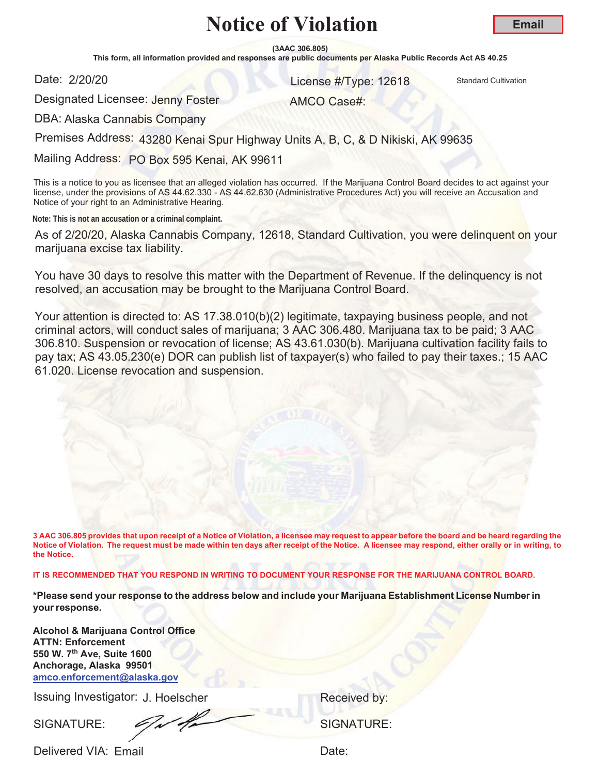**(3AAC 306.805)**

This form, all information provided and responses are public documents per Alaska Public Records Act AS 40.25

Date: 2/20/20

**License #Type: 12618** Standard Cultivation

AMCO Case#:

Designated Licensee: Jenny Foster

DBA: Alaska Cannabis Company

Premises Address: 43280 Kenai Spur Highway Units A, B, C, & D Nikiski, AK 99635

Mailing Address: PO Box 595 Kenai, AK 99611

This is a notice to you as licensee that an alleged violation has occurred. If the Marijuana Control Board decides to act against your license, under the provisions of AS 44.62.330 - AS 44.62.630 (Administrative Procedures Act) you will receive an Accusation and Notice of your right to an Administrative Hearing.

**Note: This is not an accusation or a criminal complaint.**

As of 2/20/20, Alaska Cannabis Company, 12618, Standard Cultivation, you were delinquent on your marijuana excise tax liability.

You have 30 days to resolve this matter with the Department of Revenue. If the delinquency is not resolved, an accusation may be brought to the Marijuana Control Board.

Your attention is directed to: AS 17.38.010(b)(2) legitimate, taxpaying business people, and not criminal actors, will conduct sales of marijuana; 3 AAC 306.480. Marijuana tax to be paid; 3 AAC 306.810. Suspension or revocation of license; AS 43.61.030(b). Marijuana cultivation facility fails to pay tax; AS 43.05.230(e) DOR can publish list of taxpayer(s) who failed to pay their taxes.; 15 AAC 61.020. License revocation and suspension.

**3 AAC 306.805 provides that upon receipt of a Notice of Violation, a licensee may request to appear before the board and be heard regarding the Notice of Violation. The request must be made within ten days after receipt of the Notice. A licensee may respond, either orally or in writing, to the Notice.** 

**IT IS RECOMMENDED THAT YOU RESPOND IN WRITING TO DOCUMENT YOUR RESPONSE FOR THE MARIJUANA CONTROL BOARD.**

**\*Please send your response to the address below and include your Marijuana Establishment License Number in your response.**

**Alcohol & Marijuana Control Office ATTN: Enforcement 550 W. 7th Ave, Suite 1600 Anchorage, Alaska 99501 amco.enforcement@alaska.gov**

Issuing Investigator: J. Hoelscher **Election Control Control Control Control Control Control Control Control Control Control Control Control Control Control Control Control Control Control Control Control Control Control C** 

SIGNATURE: COMPANY SIGNATURE: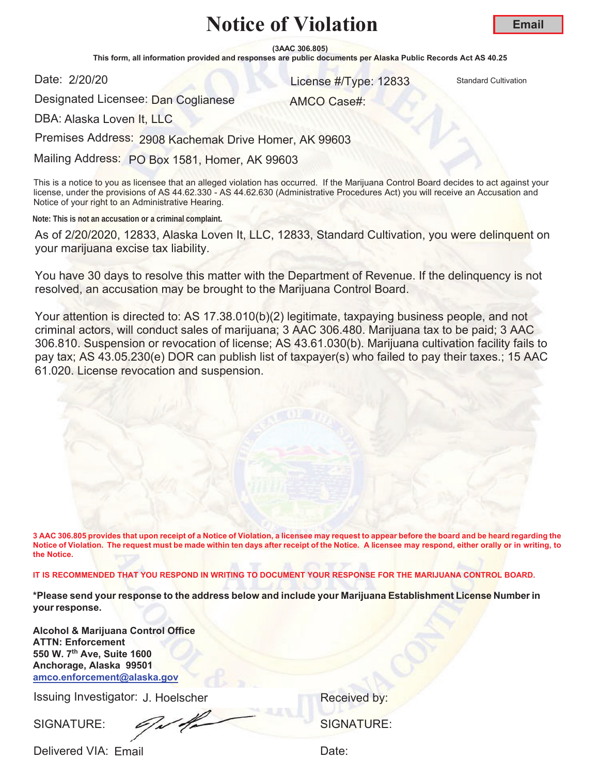**(3AAC 306.805)**

This form, all information provided and responses are public documents per Alaska Public Records Act AS 40.25

Date: 2/20/20

**License #Type: 12833** Standard Cultivation

AMCO Case#:

Designated Licensee: <mark>Dan Coglianese</mark>

DBA: Alaska Loven It, LLC

Premises Address: 2908 Kachemak Drive Homer, AK 99603

Mailing Address: PO Box 1581, Homer, AK 99603

This is a notice to you as licensee that an alleged violation has occurred. If the Marijuana Control Board decides to act against your license, under the provisions of AS 44.62.330 - AS 44.62.630 (Administrative Procedures Act) you will receive an Accusation and Notice of your right to an Administrative Hearing.

**Note: This is not an accusation or a criminal complaint.**

As of 2/20/2020, 12833, Alaska Loven It, LLC, 12833, Standard Cultivation, you were delinquent on your marijuana excise tax liability.

You have 30 days to resolve this matter with the Department of Revenue. If the delinquency is not resolved, an accusation may be brought to the Marijuana Control Board.

Your attention is directed to: AS 17.38.010(b)(2) legitimate, taxpaying business people, and not criminal actors, will conduct sales of marijuana; 3 AAC 306.480. Marijuana tax to be paid; 3 AAC 306.810. Suspension or revocation of license; AS 43.61.030(b). Marijuana cultivation facility fails to pay tax; AS 43.05.230(e) DOR can publish list of taxpayer(s) who failed to pay their taxes.; 15 AAC 61.020. License revocation and suspension.

**3 AAC 306.805 provides that upon receipt of a Notice of Violation, a licensee may request to appear before the board and be heard regarding the Notice of Violation. The request must be made within ten days after receipt of the Notice. A licensee may respond, either orally or in writing, to the Notice.** 

**IT IS RECOMMENDED THAT YOU RESPOND IN WRITING TO DOCUMENT YOUR RESPONSE FOR THE MARIJUANA CONTROL BOARD.**

**\*Please send your response to the address below and include your Marijuana Establishment License Number in your response.**

**Alcohol & Marijuana Control Office ATTN: Enforcement 550 W. 7th Ave, Suite 1600 Anchorage, Alaska 99501 amco.enforcement@alaska.gov**

Issuing Investigator: J. Hoelscher **Election Control Control Control Control Control Control Control Control Control Control Control Control Control Control Control Control Control Control Control Control Control Control C** 

SIGNATURE: 6/1/4/2000 SIGNATURE: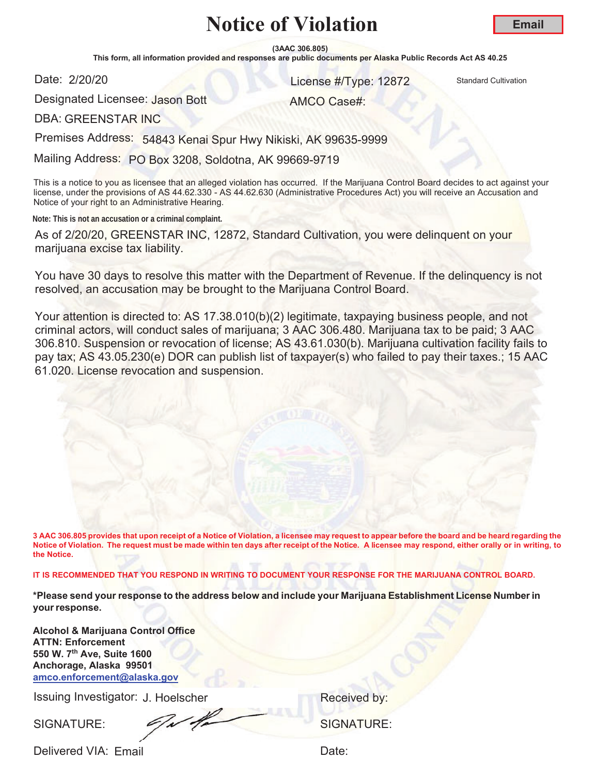**(3AAC 306.805)**

This form, all information provided and responses are public documents per Alaska Public Records Act AS 40.25

Date: 2/20/20

**License #Type: 12872** Standard Cultivation

AMCO Case#:

Designated Licensee: Jason Bott

DBA: GREENSTAR INC

Premises Address: 54843 Kenai Spur Hwy Nikiski, AK 99635-9999

Mailing Address: PO Box 3208, Soldotna, AK 99669-9719

This is a notice to you as licensee that an alleged violation has occurred. If the Marijuana Control Board decides to act against your license, under the provisions of AS 44.62.330 - AS 44.62.630 (Administrative Procedures Act) you will receive an Accusation and Notice of your right to an Administrative Hearing.

**Note: This is not an accusation or a criminal complaint.**

As of 2/20/20, GREENSTAR INC, 12872, Standard Cultivation, you were delinquent on your marijuana excise tax liability.

You have 30 days to resolve this matter with the Department of Revenue. If the delinquency is not resolved, an accusation may be brought to the Marijuana Control Board.

Your attention is directed to: AS 17.38.010(b)(2) legitimate, taxpaying business people, and not criminal actors, will conduct sales of marijuana; 3 AAC 306.480. Marijuana tax to be paid; 3 AAC 306.810. Suspension or revocation of license; AS 43.61.030(b). Marijuana cultivation facility fails to pay tax; AS 43.05.230(e) DOR can publish list of taxpayer(s) who failed to pay their taxes.; 15 AAC 61.020. License revocation and suspension.

**3 AAC 306.805 provides that upon receipt of a Notice of Violation, a licensee may request to appear before the board and be heard regarding the Notice of Violation. The request must be made within ten days after receipt of the Notice. A licensee may respond, either orally or in writing, to the Notice.** 

**IT IS RECOMMENDED THAT YOU RESPOND IN WRITING TO DOCUMENT YOUR RESPONSE FOR THE MARIJUANA CONTROL BOARD.**

**\*Please send your response to the address below and include your Marijuana Establishment License Number in your response.**

**Alcohol & Marijuana Control Office ATTN: Enforcement 550 W. 7th Ave, Suite 1600 Anchorage, Alaska 99501 amco.enforcement@alaska.gov**

Issuing Investigator: J. Hoelscher **Election Control Control Control Control Control Control Control Control Control Control Control Control Control Control Control Control Control Control Control Control Control Control C** 

SIGNATURE: <del>C/M/M</del> SIGNATURE: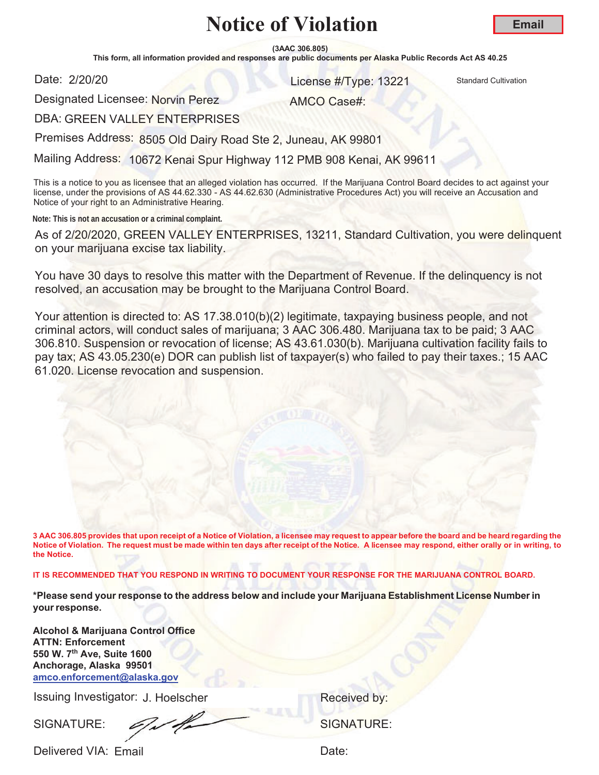**(3AAC 306.805)**

This form, all information provided and responses are public documents per Alaska Public Records Act AS 40.25

Date: 2/20/20

**License #Type: 13221 Standard Cultivation** 

Designated Licensee: Norvin Perez

AMCO Case#:

DBA: GREEN VALLEY ENTERPRISES

Premises Address: 8505 Old Dairy Road Ste 2, Juneau, AK 99801

Mailing Address: 10672 Kenai Spur Highway 112 PMB 908 Kenai, AK 99611

This is a notice to you as licensee that an alleged violation has occurred. If the Marijuana Control Board decides to act against your license, under the provisions of AS 44.62.330 - AS 44.62.630 (Administrative Procedures Act) you will receive an Accusation and Notice of your right to an Administrative Hearing.

**Note: This is not an accusation or a criminal complaint.**

As of 2/20/2020, GREEN VALLEY ENTERPRISES, 13211, Standard Cultivation, you were delinquent on your marijuana excise tax liability.

You have 30 days to resolve this matter with the Department of Revenue. If the delinquency is not resolved, an accusation may be brought to the Marijuana Control Board.

Your attention is directed to: AS 17.38.010(b)(2) legitimate, taxpaying business people, and not criminal actors, will conduct sales of marijuana; 3 AAC 306.480. Marijuana tax to be paid; 3 AAC 306.810. Suspension or revocation of license; AS 43.61.030(b). Marijuana cultivation facility fails to pay tax; AS 43.05.230(e) DOR can publish list of taxpayer(s) who failed to pay their taxes.; 15 AAC 61.020. License revocation and suspension.

**3 AAC 306.805 provides that upon receipt of a Notice of Violation, a licensee may request to appear before the board and be heard regarding the Notice of Violation. The request must be made within ten days after receipt of the Notice. A licensee may respond, either orally or in writing, to the Notice.** 

**IT IS RECOMMENDED THAT YOU RESPOND IN WRITING TO DOCUMENT YOUR RESPONSE FOR THE MARIJUANA CONTROL BOARD.**

**\*Please send your response to the address below and include your Marijuana Establishment License Number in your response.**

**Alcohol & Marijuana Control Office ATTN: Enforcement 550 W. 7th Ave, Suite 1600 Anchorage, Alaska 99501 amco.enforcement@alaska.gov**

Issuing Investigator: J. Hoelscher **Election Control Control Control Control Control Control Control Control Control Control Control Control Control Control Control Control Control Control Control Control Control Control C** 

SIGNATURE: SIGNATURE: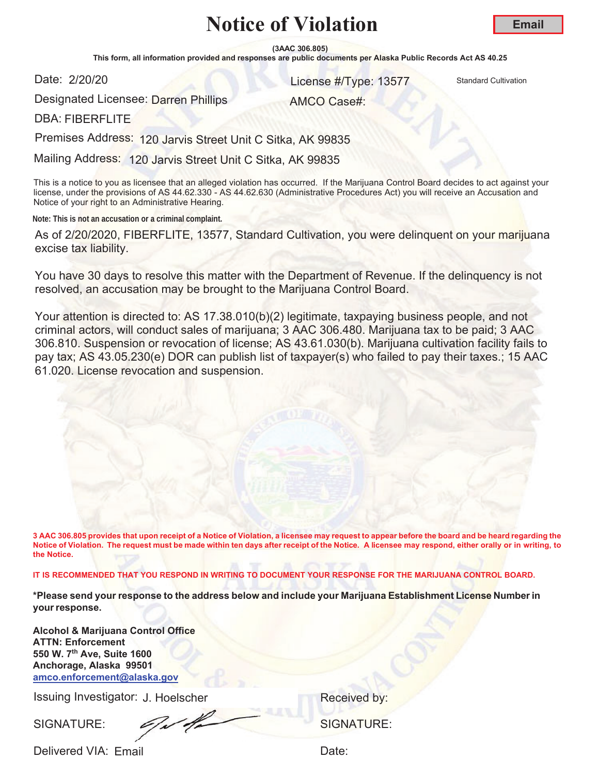**(3AAC 306.805)**

This form, all information provided and responses are public documents per Alaska Public Records Act AS 40.25

Date: 2/20/20

**License #Type: 13577** Standard Cultivation

Designated Licensee: <mark>Darren Phillips</mark>

AMCO Case#:

DBA: FIBERFLITE

Premises Address: 120 Jarvis Street Unit C Sitka, AK 99835

Mailing Address: 120 Jarvis Street Unit C Sitka, AK 99835

This is a notice to you as licensee that an alleged violation has occurred. If the Marijuana Control Board decides to act against your license, under the provisions of AS 44.62.330 - AS 44.62.630 (Administrative Procedures Act) you will receive an Accusation and Notice of your right to an Administrative Hearing.

**Note: This is not an accusation or a criminal complaint.**

As of 2/20/2020, FIBERFLITE, 13577, Standard Cultivation, you were delinquent on your marijuana excise tax liability.

You have 30 days to resolve this matter with the Department of Revenue. If the delinquency is not resolved, an accusation may be brought to the Marijuana Control Board.

Your attention is directed to: AS 17.38.010(b)(2) legitimate, taxpaying business people, and not criminal actors, will conduct sales of marijuana; 3 AAC 306.480. Marijuana tax to be paid; 3 AAC 306.810. Suspension or revocation of license; AS 43.61.030(b). Marijuana cultivation facility fails to pay tax; AS 43.05.230(e) DOR can publish list of taxpayer(s) who failed to pay their taxes.; 15 AAC 61.020. License revocation and suspension.

**3 AAC 306.805 provides that upon receipt of a Notice of Violation, a licensee may request to appear before the board and be heard regarding the Notice of Violation. The request must be made within ten days after receipt of the Notice. A licensee may respond, either orally or in writing, to the Notice.** 

**IT IS RECOMMENDED THAT YOU RESPOND IN WRITING TO DOCUMENT YOUR RESPONSE FOR THE MARIJUANA CONTROL BOARD.**

**\*Please send your response to the address below and include your Marijuana Establishment License Number in your response.**

**Alcohol & Marijuana Control Office ATTN: Enforcement 550 W. 7th Ave, Suite 1600 Anchorage, Alaska 99501 amco.enforcement@alaska.gov**

Issuing Investigator: J. Hoelscher **Election Control Control Control Control Control Control Control Control Control Control Control Control Control Control Control Control Control Control Control Control Control Control C** 

SIGNATURE: COMPUTE: SIGNATURE: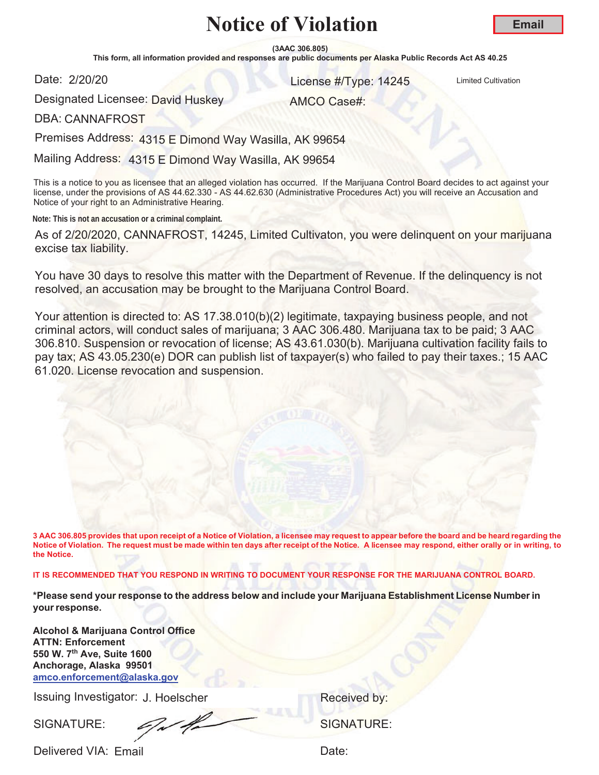**(3AAC 306.805)**

This form, all information provided and responses are public documents per Alaska Public Records Act AS 40.25

Date: 2/20/20

**2/20/20** License #/Type: 14245 Limited Cultivation

AMCO Case#:

**Email**

Designated Licensee: <mark>Da</mark>vid Huskey

DBA: CANNAFROST

Premises Address: 4315 E Dimond Way Wasilla, AK 99654

Mailing Address: 4315 E Dimond Way Wasilla, AK 99654

This is a notice to you as licensee that an alleged violation has occurred. If the Marijuana Control Board decides to act against your license, under the provisions of AS 44.62.330 - AS 44.62.630 (Administrative Procedures Act) you will receive an Accusation and Notice of your right to an Administrative Hearing.

**Note: This is not an accusation or a criminal complaint.**

As of 2/20/2020, CANNAFROST, 14245, Limited Cultivaton, you were delinquent on your marijuana excise tax liability.

You have 30 days to resolve this matter with the Department of Revenue. If the delinquency is not resolved, an accusation may be brought to the Marijuana Control Board.

Your attention is directed to: AS 17.38.010(b)(2) legitimate, taxpaying business people, and not criminal actors, will conduct sales of marijuana; 3 AAC 306.480. Marijuana tax to be paid; 3 AAC 306.810. Suspension or revocation of license; AS 43.61.030(b). Marijuana cultivation facility fails to pay tax; AS 43.05.230(e) DOR can publish list of taxpayer(s) who failed to pay their taxes.; 15 AAC 61.020. License revocation and suspension.

**3 AAC 306.805 provides that upon receipt of a Notice of Violation, a licensee may request to appear before the board and be heard regarding the Notice of Violation. The request must be made within ten days after receipt of the Notice. A licensee may respond, either orally or in writing, to the Notice.** 

**IT IS RECOMMENDED THAT YOU RESPOND IN WRITING TO DOCUMENT YOUR RESPONSE FOR THE MARIJUANA CONTROL BOARD.**

**\*Please send your response to the address below and include your Marijuana Establishment License Number in your response.**

**Alcohol & Marijuana Control Office ATTN: Enforcement 550 W. 7th Ave, Suite 1600 Anchorage, Alaska 99501 amco.enforcement@alaska.gov**

Issuing Investigator: J. Hoelscher **Election Control Control Control Control Control Control Control Control Control Control Control Control Control Control Control Control Control Control Control Control Control Control C** 

SIGNATURE: SIGNATURE: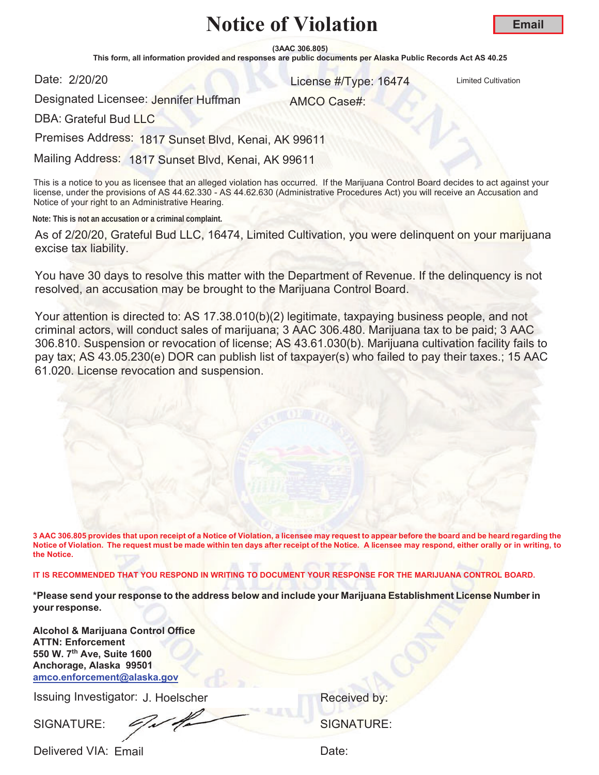**(3AAC 306.805)**

This form, all information provided and responses are public documents per Alaska Public Records Act AS 40.25

Date: 2/20/20

**2/20/20** License #/Type: 16474 Limited Cultivation

**Email**

Designated Licensee: Jennifer Huffman

AMCO Case#:

DBA: Grateful Bud LLC

Premises Address: 1817 Sunset Blvd, Kenai, AK 99611

Mailing Address: 1817 Sunset Blvd, Kenai, AK 99611

This is a notice to you as licensee that an alleged violation has occurred. If the Marijuana Control Board decides to act against your license, under the provisions of AS 44.62.330 - AS 44.62.630 (Administrative Procedures Act) you will receive an Accusation and Notice of your right to an Administrative Hearing.

**Note: This is not an accusation or a criminal complaint.**

As of 2/20/20, Grateful Bud LLC, 16474, Limited Cultivation, you were delinquent on your marijuana excise tax liability.

You have 30 days to resolve this matter with the Department of Revenue. If the delinquency is not resolved, an accusation may be brought to the Marijuana Control Board.

Your attention is directed to: AS 17.38.010(b)(2) legitimate, taxpaying business people, and not criminal actors, will conduct sales of marijuana; 3 AAC 306.480. Marijuana tax to be paid; 3 AAC 306.810. Suspension or revocation of license; AS 43.61.030(b). Marijuana cultivation facility fails to pay tax; AS 43.05.230(e) DOR can publish list of taxpayer(s) who failed to pay their taxes.; 15 AAC 61.020. License revocation and suspension.

**3 AAC 306.805 provides that upon receipt of a Notice of Violation, a licensee may request to appear before the board and be heard regarding the Notice of Violation. The request must be made within ten days after receipt of the Notice. A licensee may respond, either orally or in writing, to the Notice.** 

**IT IS RECOMMENDED THAT YOU RESPOND IN WRITING TO DOCUMENT YOUR RESPONSE FOR THE MARIJUANA CONTROL BOARD.**

**\*Please send your response to the address below and include your Marijuana Establishment License Number in your response.**

**Alcohol & Marijuana Control Office ATTN: Enforcement 550 W. 7th Ave, Suite 1600 Anchorage, Alaska 99501 amco.enforcement@alaska.gov**

Issuing Investigator: J. Hoelscher **Election Control Control Control Control Control Control Control Control Control Control Control Control Control Control Control Control Control Control Control Control Control Control C** 

SIGNATURE: SIGNATURE: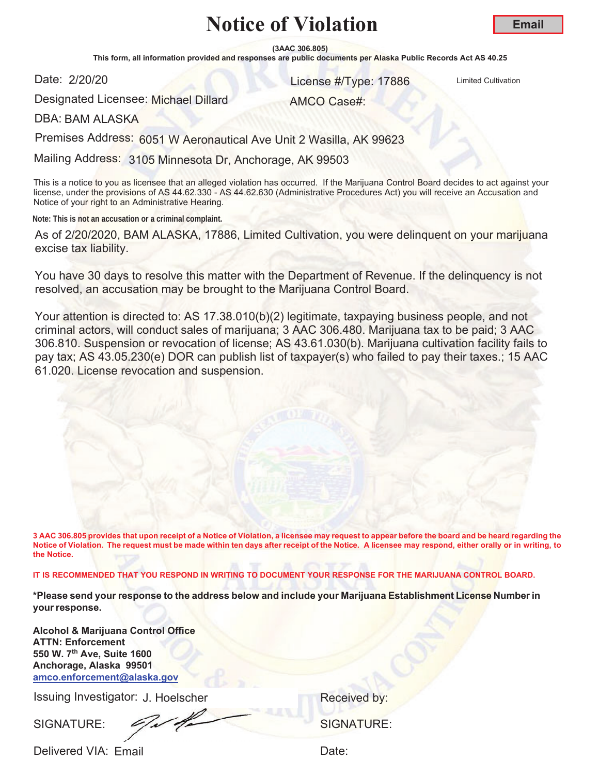**(3AAC 306.805)**

This form, all information provided and responses are public documents per Alaska Public Records Act AS 40.25

Date: 2/20/20

**2/20/20** License #/Type: 17886 Limited Cultivation

**Email**

Designated Licensee: Michael Dillard

AMCO Case#:

DBA: BAM ALASKA

Premises Address: 6051 W Aeronautical Ave Unit 2 Wasilla, AK 99623

Mailing Address: 3105 Minnesota Dr, Anchorage, AK 99503

This is a notice to you as licensee that an alleged violation has occurred. If the Marijuana Control Board decides to act against your license, under the provisions of AS 44.62.330 - AS 44.62.630 (Administrative Procedures Act) you will receive an Accusation and Notice of your right to an Administrative Hearing.

**Note: This is not an accusation or a criminal complaint.**

As of 2/20/2020, BAM ALASKA, 17886, Limited Cultivation, you were delinquent on your marijuana excise tax liability.

You have 30 days to resolve this matter with the Department of Revenue. If the delinquency is not resolved, an accusation may be brought to the Marijuana Control Board.

Your attention is directed to: AS 17.38.010(b)(2) legitimate, taxpaying business people, and not criminal actors, will conduct sales of marijuana; 3 AAC 306.480. Marijuana tax to be paid; 3 AAC 306.810. Suspension or revocation of license; AS 43.61.030(b). Marijuana cultivation facility fails to pay tax; AS 43.05.230(e) DOR can publish list of taxpayer(s) who failed to pay their taxes.; 15 AAC 61.020. License revocation and suspension.

**3 AAC 306.805 provides that upon receipt of a Notice of Violation, a licensee may request to appear before the board and be heard regarding the Notice of Violation. The request must be made within ten days after receipt of the Notice. A licensee may respond, either orally or in writing, to the Notice.** 

**IT IS RECOMMENDED THAT YOU RESPOND IN WRITING TO DOCUMENT YOUR RESPONSE FOR THE MARIJUANA CONTROL BOARD.**

**\*Please send your response to the address below and include your Marijuana Establishment License Number in your response.**

**Alcohol & Marijuana Control Office ATTN: Enforcement 550 W. 7th Ave, Suite 1600 Anchorage, Alaska 99501 amco.enforcement@alaska.gov**

Issuing Investigator: J. Hoelscher **Election Control Control Control Control Control Control Control Control Control Control Control Control Control Control Control Control Control Control Control Control Control Control C** 

SIGNATURE:  $\mathscr{L}/\mathscr{L}$